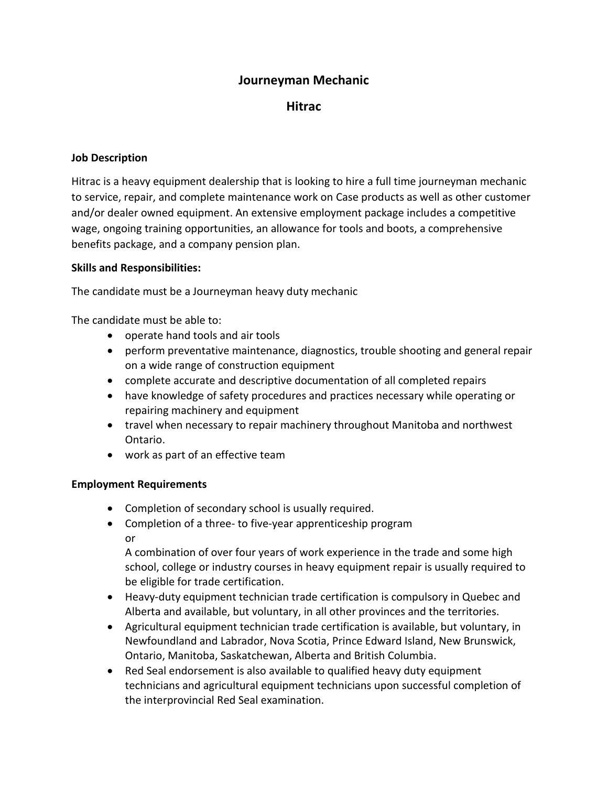# **Journeyman Mechanic**

## **Hitrac**

### **Job Description**

Hitrac is a heavy equipment dealership that is looking to hire a full time journeyman mechanic to service, repair, and complete maintenance work on Case products as well as other customer and/or dealer owned equipment. An extensive employment package includes a competitive wage, ongoing training opportunities, an allowance for tools and boots, a comprehensive benefits package, and a company pension plan.

#### **Skills and Responsibilities:**

The candidate must be a Journeyman heavy duty mechanic

The candidate must be able to:

- operate hand tools and air tools
- perform preventative maintenance, diagnostics, trouble shooting and general repair on a wide range of construction equipment
- complete accurate and descriptive documentation of all completed repairs
- have knowledge of safety procedures and practices necessary while operating or repairing machinery and equipment
- travel when necessary to repair machinery throughout Manitoba and northwest Ontario.
- work as part of an effective team

#### **Employment Requirements**

- Completion of secondary school is usually required.
- Completion of a three- to five-year apprenticeship program or

A combination of over four years of work experience in the trade and some high school, college or industry courses in heavy equipment repair is usually required to be eligible for trade certification.

- Heavy-duty equipment technician trade certification is compulsory in Quebec and Alberta and available, but voluntary, in all other provinces and the territories.
- Agricultural equipment technician trade certification is available, but voluntary, in Newfoundland and Labrador, Nova Scotia, Prince Edward Island, New Brunswick, Ontario, Manitoba, Saskatchewan, Alberta and British Columbia.
- Red Seal endorsement is also available to qualified heavy duty equipment technicians and agricultural equipment technicians upon successful completion of the interprovincial Red Seal examination.